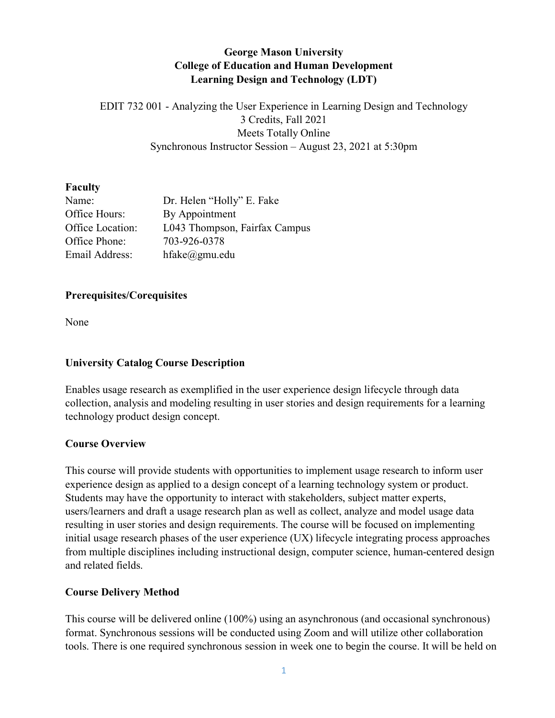# **George Mason University College of Education and Human Development Learning Design and Technology (LDT)**

EDIT 732 001 - Analyzing the User Experience in Learning Design and Technology 3 Credits, Fall 2021 Meets Totally Online Synchronous Instructor Session – August 23, 2021 at 5:30pm

#### **Faculty**

| Name:            | Dr. Helen "Holly" E. Fake     |
|------------------|-------------------------------|
| Office Hours:    | By Appointment                |
| Office Location: | L043 Thompson, Fairfax Campus |
| Office Phone:    | 703-926-0378                  |
| Email Address:   | $h$ fake $@g$ mu.edu          |

#### **Prerequisites/Corequisites**

None

## **University Catalog Course Description**

Enables usage research as exemplified in the user experience design lifecycle through data collection, analysis and modeling resulting in user stories and design requirements for a learning technology product design concept.

#### **Course Overview**

This course will provide students with opportunities to implement usage research to inform user experience design as applied to a design concept of a learning technology system or product. Students may have the opportunity to interact with stakeholders, subject matter experts, users/learners and draft a usage research plan as well as collect, analyze and model usage data resulting in user stories and design requirements. The course will be focused on implementing initial usage research phases of the user experience (UX) lifecycle integrating process approaches from multiple disciplines including instructional design, computer science, human-centered design and related fields.

#### **Course Delivery Method**

This course will be delivered online (100%) using an asynchronous (and occasional synchronous) format. Synchronous sessions will be conducted using Zoom and will utilize other collaboration tools. There is one required synchronous session in week one to begin the course. It will be held on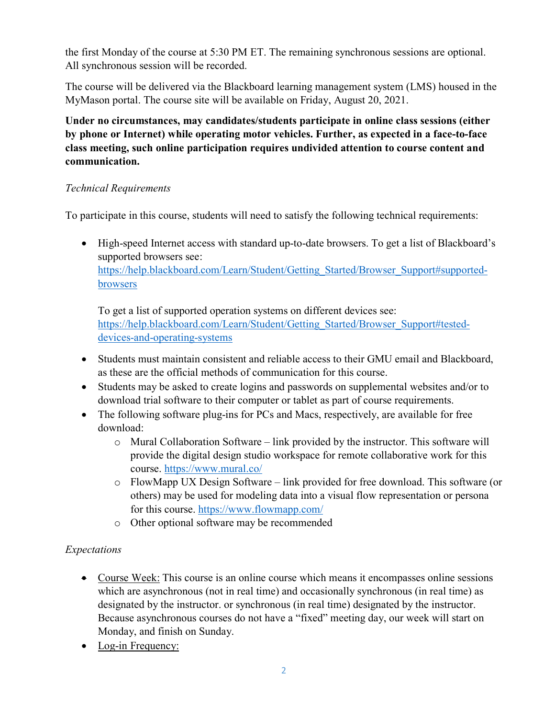the first Monday of the course at 5:30 PM ET. The remaining synchronous sessions are optional. All synchronous session will be recorded.

The course will be delivered via the Blackboard learning management system (LMS) housed in the MyMason portal. The course site will be available on Friday, August 20, 2021.

**Under no circumstances, may candidates/students participate in online class sessions (either by phone or Internet) while operating motor vehicles. Further, as expected in a face-to-face class meeting, such online participation requires undivided attention to course content and communication.**

### *Technical Requirements*

To participate in this course, students will need to satisfy the following technical requirements:

• High-speed Internet access with standard up-to-date browsers. To get a list of Blackboard's supported browsers see: [https://help.blackboard.com/Learn/Student/Getting\\_Started/Browser\\_Support#supported](https://help.blackboard.com/Learn/Student/Getting_Started/Browser_Support#supported-browsers)[browsers](https://help.blackboard.com/Learn/Student/Getting_Started/Browser_Support#supported-browsers)

To get a list of supported operation systems on different devices see: [https://help.blackboard.com/Learn/Student/Getting\\_Started/Browser\\_Support#tested](https://help.blackboard.com/Learn/Student/Getting_Started/Browser_Support#tested-devices-and-operating-systems)[devices-and-operating-systems](https://help.blackboard.com/Learn/Student/Getting_Started/Browser_Support#tested-devices-and-operating-systems)

- Students must maintain consistent and reliable access to their GMU email and Blackboard, as these are the official methods of communication for this course.
- Students may be asked to create logins and passwords on supplemental websites and/or to download trial software to their computer or tablet as part of course requirements.
- The following software plug-ins for PCs and Macs, respectively, are available for free download:
	- $\circ$  Mural Collaboration Software link provided by the instructor. This software will provide the digital design studio workspace for remote collaborative work for this course.<https://www.mural.co/>
	- o FlowMapp UX Design Software link provided for free download. This software (or others) may be used for modeling data into a visual flow representation or persona for this course.<https://www.flowmapp.com/>
	- o Other optional software may be recommended

# *Expectations*

- Course Week: This course is an online course which means it encompasses online sessions which are asynchronous (not in real time) and occasionally synchronous (in real time) as designated by the instructor. or synchronous (in real time) designated by the instructor. Because asynchronous courses do not have a "fixed" meeting day, our week will start on Monday, and finish on Sunday.
- Log-in Frequency: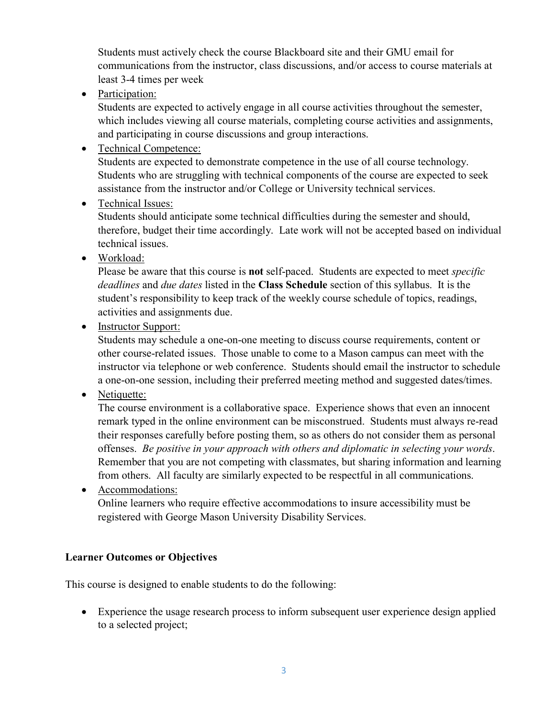Students must actively check the course Blackboard site and their GMU email for communications from the instructor, class discussions, and/or access to course materials at least 3-4 times per week

• Participation:

Students are expected to actively engage in all course activities throughout the semester, which includes viewing all course materials, completing course activities and assignments, and participating in course discussions and group interactions.

• Technical Competence:

Students are expected to demonstrate competence in the use of all course technology. Students who are struggling with technical components of the course are expected to seek assistance from the instructor and/or College or University technical services.

• Technical Issues:

Students should anticipate some technical difficulties during the semester and should, therefore, budget their time accordingly. Late work will not be accepted based on individual technical issues.

• Workload:

Please be aware that this course is **not** self-paced. Students are expected to meet *specific deadlines* and *due dates* listed in the **Class Schedule** section of this syllabus. It is the student's responsibility to keep track of the weekly course schedule of topics, readings, activities and assignments due.

• Instructor Support:

Students may schedule a one-on-one meeting to discuss course requirements, content or other course-related issues. Those unable to come to a Mason campus can meet with the instructor via telephone or web conference. Students should email the instructor to schedule a one-on-one session, including their preferred meeting method and suggested dates/times.

• Netiquette:

The course environment is a collaborative space. Experience shows that even an innocent remark typed in the online environment can be misconstrued. Students must always re-read their responses carefully before posting them, so as others do not consider them as personal offenses. *Be positive in your approach with others and diplomatic in selecting your words*. Remember that you are not competing with classmates, but sharing information and learning from others. All faculty are similarly expected to be respectful in all communications.

• Accommodations: Online learners who require effective accommodations to insure accessibility must be registered with George Mason University Disability Services.

#### **Learner Outcomes or Objectives**

This course is designed to enable students to do the following:

• Experience the usage research process to inform subsequent user experience design applied to a selected project;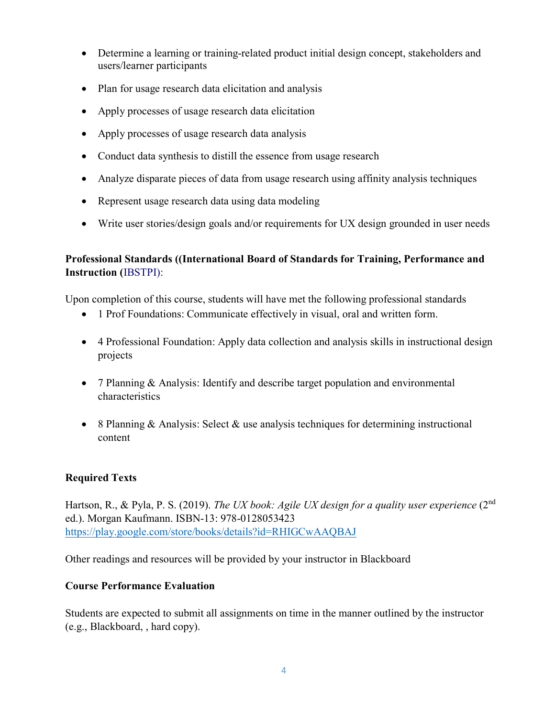- Determine a learning or training-related product initial design concept, stakeholders and users/learner participants
- Plan for usage research data elicitation and analysis
- Apply processes of usage research data elicitation
- Apply processes of usage research data analysis
- Conduct data synthesis to distill the essence from usage research
- Analyze disparate pieces of data from usage research using affinity analysis techniques
- Represent usage research data using data modeling
- Write user stories/design goals and/or requirements for UX design grounded in user needs

### **Professional Standards ((International Board of Standards for Training, Performance and Instruction (**IBSTPI):

Upon completion of this course, students will have met the following professional standards

- 1 Prof Foundations: Communicate effectively in visual, oral and written form.
- 4 Professional Foundation: Apply data collection and analysis skills in instructional design projects
- 7 Planning & Analysis: Identify and describe target population and environmental characteristics
- 8 Planning  $&$  Analysis: Select  $&$  use analysis techniques for determining instructional content

# **Required Texts**

Hartson, R., & Pyla, P. S. (2019). *The UX book: Agile UX design for a quality user experience* (2nd ed.). Morgan Kaufmann. ISBN-13: 978-0128053423 <https://play.google.com/store/books/details?id=RHIGCwAAQBAJ>

Other readings and resources will be provided by your instructor in Blackboard

#### **Course Performance Evaluation**

Students are expected to submit all assignments on time in the manner outlined by the instructor (e.g., Blackboard, , hard copy).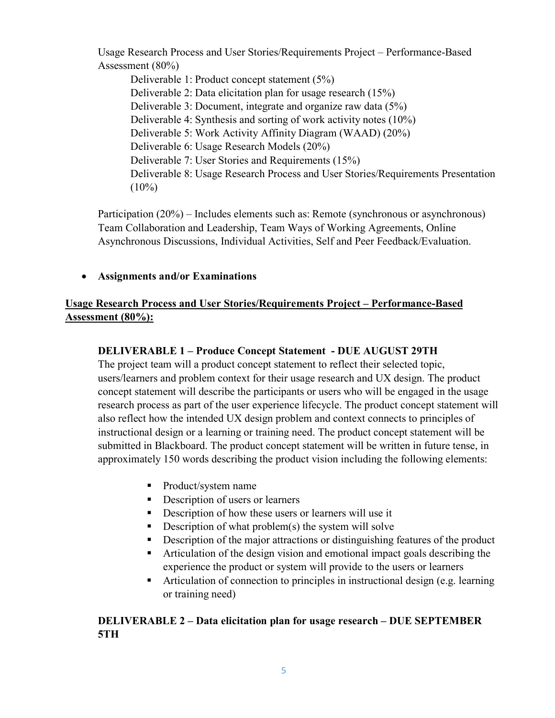Usage Research Process and User Stories/Requirements Project – Performance-Based Assessment (80%)

Deliverable 1: Product concept statement (5%) Deliverable 2: Data elicitation plan for usage research (15%) Deliverable 3: Document, integrate and organize raw data (5%) Deliverable 4: Synthesis and sorting of work activity notes (10%) Deliverable 5: Work Activity Affinity Diagram (WAAD) (20%) Deliverable 6: Usage Research Models (20%) Deliverable 7: User Stories and Requirements (15%) Deliverable 8: Usage Research Process and User Stories/Requirements Presentation  $(10\%)$ 

Participation (20%) – Includes elements such as: Remote (synchronous or asynchronous) Team Collaboration and Leadership, Team Ways of Working Agreements, Online Asynchronous Discussions, Individual Activities, Self and Peer Feedback/Evaluation.

• **Assignments and/or Examinations**

# **Usage Research Process and User Stories/Requirements Project – Performance-Based Assessment (80%):**

# **DELIVERABLE 1 – Produce Concept Statement - DUE AUGUST 29TH**

The project team will a product concept statement to reflect their selected topic, users/learners and problem context for their usage research and UX design. The product concept statement will describe the participants or users who will be engaged in the usage research process as part of the user experience lifecycle. The product concept statement will also reflect how the intended UX design problem and context connects to principles of instructional design or a learning or training need. The product concept statement will be submitted in Blackboard. The product concept statement will be written in future tense, in approximately 150 words describing the product vision including the following elements:

- Product/system name
- Description of users or learners
- Description of how these users or learners will use it
- Description of what problem(s) the system will solve
- **Description of the major attractions or distinguishing features of the product**
- Articulation of the design vision and emotional impact goals describing the experience the product or system will provide to the users or learners
- Articulation of connection to principles in instructional design (e.g. learning or training need)

### **DELIVERABLE 2 – Data elicitation plan for usage research – DUE SEPTEMBER 5TH**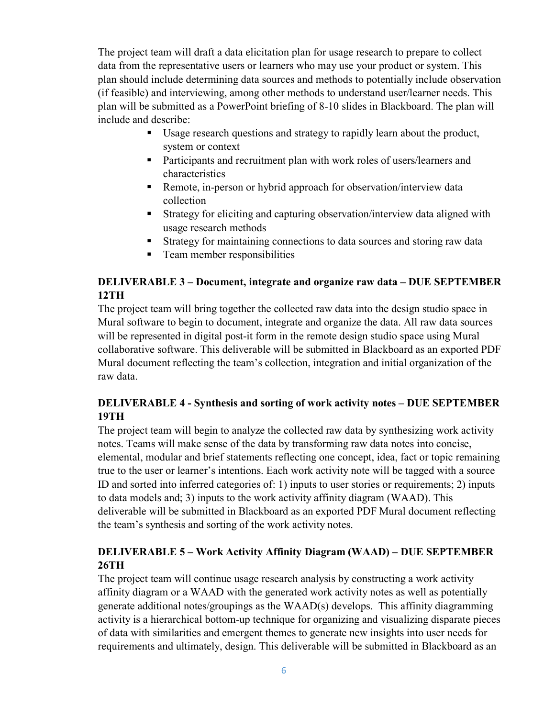The project team will draft a data elicitation plan for usage research to prepare to collect data from the representative users or learners who may use your product or system. This plan should include determining data sources and methods to potentially include observation (if feasible) and interviewing, among other methods to understand user/learner needs. This plan will be submitted as a PowerPoint briefing of 8-10 slides in Blackboard. The plan will include and describe:

- Usage research questions and strategy to rapidly learn about the product, system or context
- **Participants and recruitment plan with work roles of users/learners and** characteristics
- Remote, in-person or hybrid approach for observation/interview data collection
- Strategy for eliciting and capturing observation/interview data aligned with usage research methods
- Strategy for maintaining connections to data sources and storing raw data
- **Team member responsibilities**

# **DELIVERABLE 3 – Document, integrate and organize raw data – DUE SEPTEMBER 12TH**

The project team will bring together the collected raw data into the design studio space in Mural software to begin to document, integrate and organize the data. All raw data sources will be represented in digital post-it form in the remote design studio space using Mural collaborative software. This deliverable will be submitted in Blackboard as an exported PDF Mural document reflecting the team's collection, integration and initial organization of the raw data.

### **DELIVERABLE 4 - Synthesis and sorting of work activity notes – DUE SEPTEMBER 19TH**

The project team will begin to analyze the collected raw data by synthesizing work activity notes. Teams will make sense of the data by transforming raw data notes into concise, elemental, modular and brief statements reflecting one concept, idea, fact or topic remaining true to the user or learner's intentions. Each work activity note will be tagged with a source ID and sorted into inferred categories of: 1) inputs to user stories or requirements; 2) inputs to data models and; 3) inputs to the work activity affinity diagram (WAAD). This deliverable will be submitted in Blackboard as an exported PDF Mural document reflecting the team's synthesis and sorting of the work activity notes.

### **DELIVERABLE 5 – Work Activity Affinity Diagram (WAAD) – DUE SEPTEMBER 26TH**

The project team will continue usage research analysis by constructing a work activity affinity diagram or a WAAD with the generated work activity notes as well as potentially generate additional notes/groupings as the WAAD(s) develops. This affinity diagramming activity is a hierarchical bottom-up technique for organizing and visualizing disparate pieces of data with similarities and emergent themes to generate new insights into user needs for requirements and ultimately, design. This deliverable will be submitted in Blackboard as an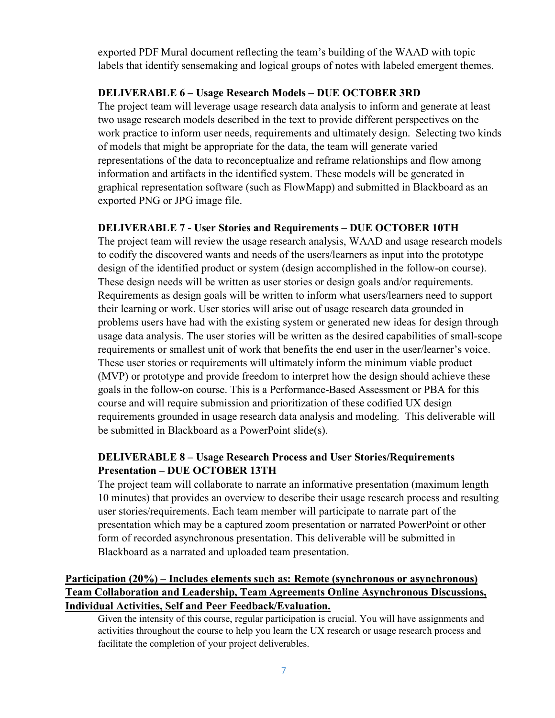exported PDF Mural document reflecting the team's building of the WAAD with topic labels that identify sensemaking and logical groups of notes with labeled emergent themes.

#### **DELIVERABLE 6 – Usage Research Models – DUE OCTOBER 3RD**

The project team will leverage usage research data analysis to inform and generate at least two usage research models described in the text to provide different perspectives on the work practice to inform user needs, requirements and ultimately design. Selecting two kinds of models that might be appropriate for the data, the team will generate varied representations of the data to reconceptualize and reframe relationships and flow among information and artifacts in the identified system. These models will be generated in graphical representation software (such as FlowMapp) and submitted in Blackboard as an exported PNG or JPG image file.

#### **DELIVERABLE 7 - User Stories and Requirements – DUE OCTOBER 10TH**

The project team will review the usage research analysis, WAAD and usage research models to codify the discovered wants and needs of the users/learners as input into the prototype design of the identified product or system (design accomplished in the follow-on course). These design needs will be written as user stories or design goals and/or requirements. Requirements as design goals will be written to inform what users/learners need to support their learning or work. User stories will arise out of usage research data grounded in problems users have had with the existing system or generated new ideas for design through usage data analysis. The user stories will be written as the desired capabilities of small-scope requirements or smallest unit of work that benefits the end user in the user/learner's voice. These user stories or requirements will ultimately inform the minimum viable product (MVP) or prototype and provide freedom to interpret how the design should achieve these goals in the follow-on course. This is a Performance-Based Assessment or PBA for this course and will require submission and prioritization of these codified UX design requirements grounded in usage research data analysis and modeling. This deliverable will be submitted in Blackboard as a PowerPoint slide(s).

### **DELIVERABLE 8 – Usage Research Process and User Stories/Requirements Presentation – DUE OCTOBER 13TH**

The project team will collaborate to narrate an informative presentation (maximum length 10 minutes) that provides an overview to describe their usage research process and resulting user stories/requirements. Each team member will participate to narrate part of the presentation which may be a captured zoom presentation or narrated PowerPoint or other form of recorded asynchronous presentation. This deliverable will be submitted in Blackboard as a narrated and uploaded team presentation.

### **Participation (20%)** – **Includes elements such as: Remote (synchronous or asynchronous) Team Collaboration and Leadership, Team Agreements Online Asynchronous Discussions, Individual Activities, Self and Peer Feedback/Evaluation.**

Given the intensity of this course, regular participation is crucial. You will have assignments and activities throughout the course to help you learn the UX research or usage research process and facilitate the completion of your project deliverables.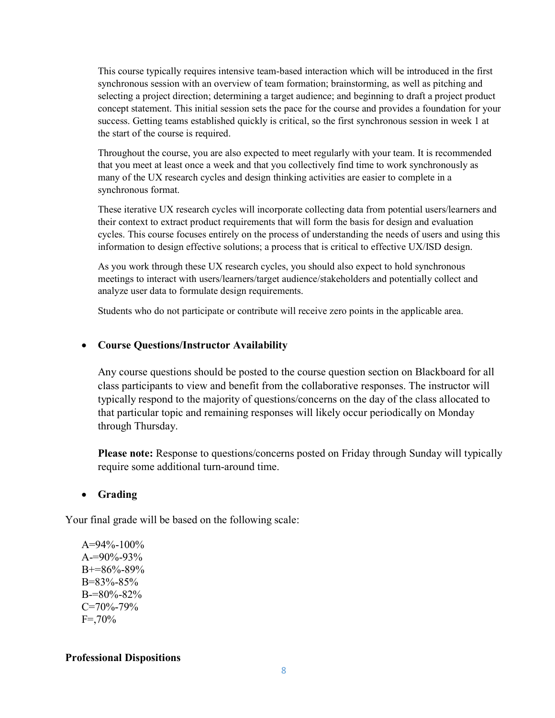This course typically requires intensive team-based interaction which will be introduced in the first synchronous session with an overview of team formation; brainstorming, as well as pitching and selecting a project direction; determining a target audience; and beginning to draft a project product concept statement. This initial session sets the pace for the course and provides a foundation for your success. Getting teams established quickly is critical, so the first synchronous session in week 1 at the start of the course is required.

Throughout the course, you are also expected to meet regularly with your team. It is recommended that you meet at least once a week and that you collectively find time to work synchronously as many of the UX research cycles and design thinking activities are easier to complete in a synchronous format.

These iterative UX research cycles will incorporate collecting data from potential users/learners and their context to extract product requirements that will form the basis for design and evaluation cycles. This course focuses entirely on the process of understanding the needs of users and using this information to design effective solutions; a process that is critical to effective UX/ISD design.

As you work through these UX research cycles, you should also expect to hold synchronous meetings to interact with users/learners/target audience/stakeholders and potentially collect and analyze user data to formulate design requirements.

Students who do not participate or contribute will receive zero points in the applicable area.

#### • **Course Questions/Instructor Availability**

Any course questions should be posted to the course question section on Blackboard for all class participants to view and benefit from the collaborative responses. The instructor will typically respond to the majority of questions/concerns on the day of the class allocated to that particular topic and remaining responses will likely occur periodically on Monday through Thursday.

**Please note:** Response to questions/concerns posted on Friday through Sunday will typically require some additional turn-around time.

#### • **Grading**

Your final grade will be based on the following scale:

A=94%-100%  $A=90\% - 93\%$ B+=86%-89% B=83%-85% B-=80%-82% C=70%-79%  $F = 70%$ 

#### **Professional Dispositions**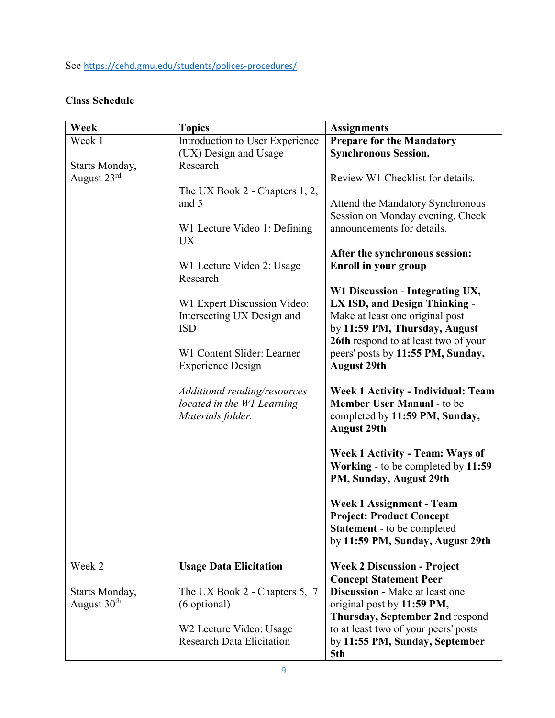See <https://cehd.gmu.edu/students/polices-procedures/>

# **Class Schedule**

| Week                                      | <b>Topics</b>                                                                   | <b>Assignments</b>                                                                                                                                                           |
|-------------------------------------------|---------------------------------------------------------------------------------|------------------------------------------------------------------------------------------------------------------------------------------------------------------------------|
| Week 1<br>Starts Monday,                  | Introduction to User Experience<br>(UX) Design and Usage<br>Research            | <b>Prepare for the Mandatory</b><br><b>Synchronous Session.</b>                                                                                                              |
| August 23rd                               | The UX Book 2 - Chapters 1, 2,                                                  | Review W1 Checklist for details.                                                                                                                                             |
|                                           | and 5                                                                           | Attend the Mandatory Synchronous<br>Session on Monday evening. Check                                                                                                         |
|                                           | W1 Lecture Video 1: Defining<br><b>UX</b>                                       | announcements for details.                                                                                                                                                   |
|                                           | W1 Lecture Video 2: Usage<br>Research                                           | After the synchronous session:<br><b>Enroll in your group</b>                                                                                                                |
|                                           | W1 Expert Discussion Video:<br>Intersecting UX Design and<br><b>ISD</b>         | W1 Discussion - Integrating UX,<br>LX ISD, and Design Thinking -<br>Make at least one original post<br>by 11:59 PM, Thursday, August<br>26th respond to at least two of your |
|                                           | W1 Content Slider: Learner<br><b>Experience Design</b>                          | peers' posts by 11:55 PM, Sunday,<br><b>August 29th</b>                                                                                                                      |
|                                           | Additional reading/resources<br>located in the W1 Learning<br>Materials folder. | <b>Week 1 Activity - Individual: Team</b><br><b>Member User Manual - to be</b><br>completed by 11:59 PM, Sunday,<br><b>August 29th</b>                                       |
|                                           |                                                                                 | <b>Week 1 Activity - Team: Ways of</b><br>Working - to be completed by 11:59<br>PM, Sunday, August 29th                                                                      |
|                                           |                                                                                 | <b>Week 1 Assignment - Team</b><br><b>Project: Product Concept</b><br><b>Statement</b> - to be completed<br>by 11:59 PM, Sunday, August 29th                                 |
| Week 2                                    | <b>Usage Data Elicitation</b>                                                   | <b>Week 2 Discussion - Project</b>                                                                                                                                           |
| Starts Monday,<br>August 30 <sup>th</sup> | The UX Book 2 - Chapters 5, 7<br>(6 optional)                                   | <b>Concept Statement Peer</b><br><b>Discussion - Make at least one</b><br>original post by 11:59 PM,<br>Thursday, September 2nd respond                                      |
|                                           | W2 Lecture Video: Usage<br><b>Research Data Elicitation</b>                     | to at least two of your peers' posts<br>by 11:55 PM, Sunday, September<br>5th                                                                                                |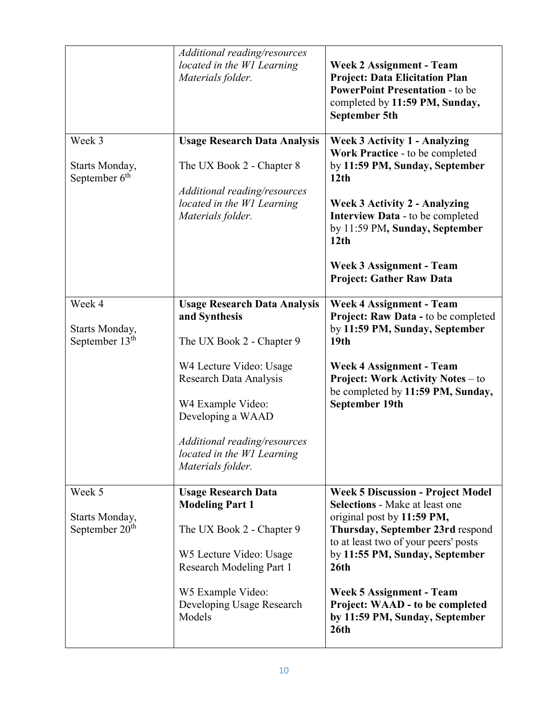|                                              | Additional reading/resources<br>located in the W1 Learning<br>Materials folder. | <b>Week 2 Assignment - Team</b><br><b>Project: Data Elicitation Plan</b><br><b>PowerPoint Presentation - to be</b><br>completed by 11:59 PM, Sunday,<br><b>September 5th</b> |
|----------------------------------------------|---------------------------------------------------------------------------------|------------------------------------------------------------------------------------------------------------------------------------------------------------------------------|
| Week 3                                       | <b>Usage Research Data Analysis</b>                                             | <b>Week 3 Activity 1 - Analyzing</b><br>Work Practice - to be completed                                                                                                      |
| Starts Monday,<br>September 6 <sup>th</sup>  | The UX Book 2 - Chapter 8                                                       | by 11:59 PM, Sunday, September<br>12 <sub>th</sub>                                                                                                                           |
|                                              | Additional reading/resources<br>located in the W1 Learning<br>Materials folder. | <b>Week 3 Activity 2 - Analyzing</b><br>Interview Data - to be completed<br>by 11:59 PM, Sunday, September<br>12 <sub>th</sub>                                               |
|                                              |                                                                                 | <b>Week 3 Assignment - Team</b><br><b>Project: Gather Raw Data</b>                                                                                                           |
| Week 4<br>Starts Monday,                     | <b>Usage Research Data Analysis</b><br>and Synthesis                            | <b>Week 4 Assignment - Team</b><br>Project: Raw Data - to be completed<br>by 11:59 PM, Sunday, September                                                                     |
| September $13th$                             | The UX Book 2 - Chapter 9                                                       | 19 <sub>th</sub>                                                                                                                                                             |
|                                              | W4 Lecture Video: Usage<br><b>Research Data Analysis</b>                        | <b>Week 4 Assignment - Team</b><br><b>Project: Work Activity Notes - to</b><br>be completed by 11:59 PM, Sunday,                                                             |
|                                              | W4 Example Video:<br>Developing a WAAD                                          | September 19th                                                                                                                                                               |
|                                              | Additional reading/resources<br>located in the W1 Learning<br>Materials folder. |                                                                                                                                                                              |
| Week 5                                       | <b>Usage Research Data</b><br><b>Modeling Part 1</b>                            | <b>Week 5 Discussion - Project Model</b><br><b>Selections - Make at least one</b>                                                                                            |
| Starts Monday,<br>September 20 <sup>th</sup> | The UX Book 2 - Chapter 9                                                       | original post by 11:59 PM,<br>Thursday, September 23rd respond<br>to at least two of your peers' posts                                                                       |
|                                              | W5 Lecture Video: Usage<br><b>Research Modeling Part 1</b>                      | by 11:55 PM, Sunday, September<br>26 <sub>th</sub>                                                                                                                           |
|                                              | W5 Example Video:<br>Developing Usage Research<br>Models                        | <b>Week 5 Assignment - Team</b><br>Project: WAAD - to be completed<br>by 11:59 PM, Sunday, September<br>26 <sub>th</sub>                                                     |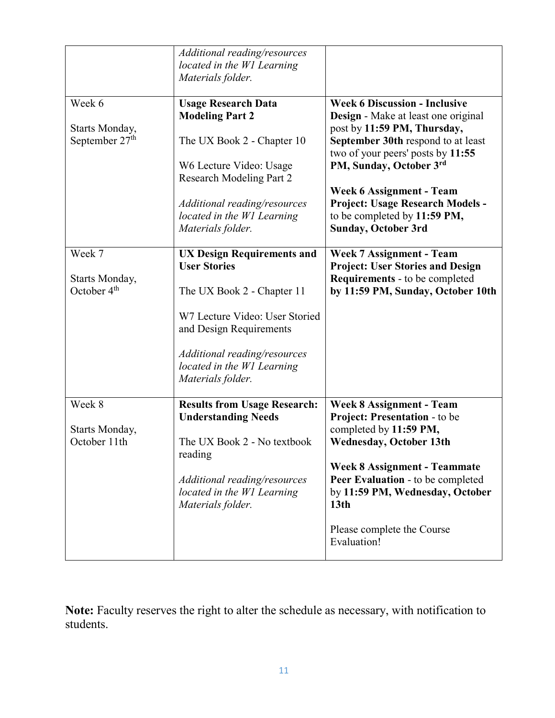|                                                        | Additional reading/resources<br>located in the W1 Learning<br>Materials folder.                                                                                                                                                        |                                                                                                                                                                                                                                                                                                                                                |
|--------------------------------------------------------|----------------------------------------------------------------------------------------------------------------------------------------------------------------------------------------------------------------------------------------|------------------------------------------------------------------------------------------------------------------------------------------------------------------------------------------------------------------------------------------------------------------------------------------------------------------------------------------------|
| Week 6<br>Starts Monday,<br>September 27 <sup>th</sup> | <b>Usage Research Data</b><br><b>Modeling Part 2</b><br>The UX Book 2 - Chapter 10<br>W6 Lecture Video: Usage<br><b>Research Modeling Part 2</b><br>Additional reading/resources<br>located in the W1 Learning<br>Materials folder.    | <b>Week 6 Discussion - Inclusive</b><br>Design - Make at least one original<br>post by 11:59 PM, Thursday,<br>September 30th respond to at least<br>two of your peers' posts by 11:55<br>PM, Sunday, October 3rd<br>Week 6 Assignment - Team<br>Project: Usage Research Models -<br>to be completed by 11:59 PM,<br><b>Sunday, October 3rd</b> |
| Week 7<br>Starts Monday,<br>October 4 <sup>th</sup>    | <b>UX Design Requirements and</b><br><b>User Stories</b><br>The UX Book 2 - Chapter 11<br>W7 Lecture Video: User Storied<br>and Design Requirements<br>Additional reading/resources<br>located in the W1 Learning<br>Materials folder. | <b>Week 7 Assignment - Team</b><br><b>Project: User Stories and Design</b><br><b>Requirements</b> - to be completed<br>by 11:59 PM, Sunday, October 10th                                                                                                                                                                                       |
| Week 8<br>Starts Monday,<br>October 11th               | <b>Results from Usage Research:</b><br><b>Understanding Needs</b><br>The UX Book 2 - No textbook<br>reading<br>Additional reading/resources<br>located in the W1 Learning<br>Materials folder.                                         | <b>Week 8 Assignment - Team</b><br>Project: Presentation - to be<br>completed by 11:59 PM,<br><b>Wednesday, October 13th</b><br><b>Week 8 Assignment - Teammate</b><br>Peer Evaluation - to be completed<br>by 11:59 PM, Wednesday, October<br>13 <sub>th</sub><br>Please complete the Course<br>Evaluation!                                   |

**Note:** Faculty reserves the right to alter the schedule as necessary, with notification to students.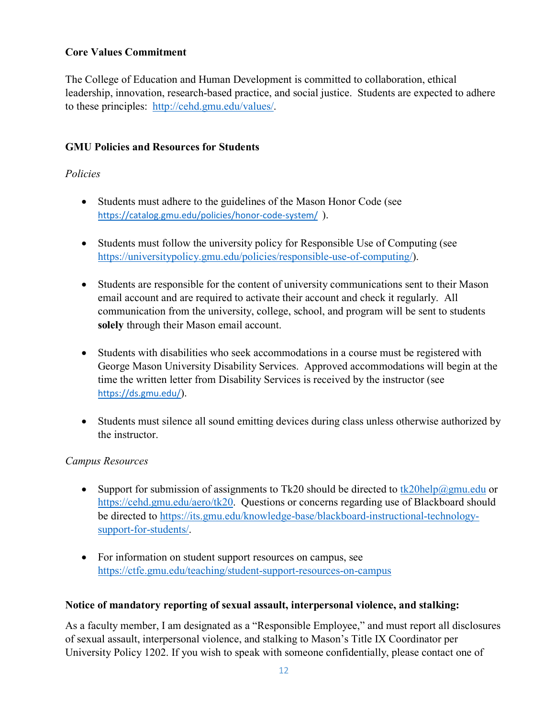### **Core Values Commitment**

The College of Education and Human Development is committed to collaboration, ethical leadership, innovation, research-based practice, and social justice. Students are expected to adhere to these principles: [http://cehd.gmu.edu/values/.](http://cehd.gmu.edu/values/)

### **GMU Policies and Resources for Students**

#### *Policies*

- Students must adhere to the guidelines of the Mason Honor Code (see <https://catalog.gmu.edu/policies/honor-code-system/>).
- Students must follow the university policy for Responsible Use of Computing (see [https://universitypolicy.gmu.edu/policies/responsible-use-of-computing/\)](https://universitypolicy.gmu.edu/policies/responsible-use-of-computing/).
- Students are responsible for the content of university communications sent to their Mason email account and are required to activate their account and check it regularly. All communication from the university, college, school, and program will be sent to students **solely** through their Mason email account.
- Students with disabilities who seek accommodations in a course must be registered with George Mason University Disability Services. Approved accommodations will begin at the time the written letter from Disability Services is received by the instructor (see <https://ds.gmu.edu/>).
- Students must silence all sound emitting devices during class unless otherwise authorized by the instructor.

#### *Campus Resources*

- Support for submission of assignments to Tk20 should be directed to  $tk20$ help $@gmu$ edu or [https://cehd.gmu.edu/aero/tk20.](https://cehd.gmu.edu/aero/tk20) Questions or concerns regarding use of Blackboard should be directed to [https://its.gmu.edu/knowledge-base/blackboard-instructional-technology](https://its.gmu.edu/knowledge-base/blackboard-instructional-technology-support-for-students/)[support-for-students/.](https://its.gmu.edu/knowledge-base/blackboard-instructional-technology-support-for-students/)
- For information on student support resources on campus, see <https://ctfe.gmu.edu/teaching/student-support-resources-on-campus>

#### **Notice of mandatory reporting of sexual assault, interpersonal violence, and stalking:**

As a faculty member, I am designated as a "Responsible Employee," and must report all disclosures of sexual assault, interpersonal violence, and stalking to Mason's Title IX Coordinator per University Policy 1202. If you wish to speak with someone confidentially, please contact one of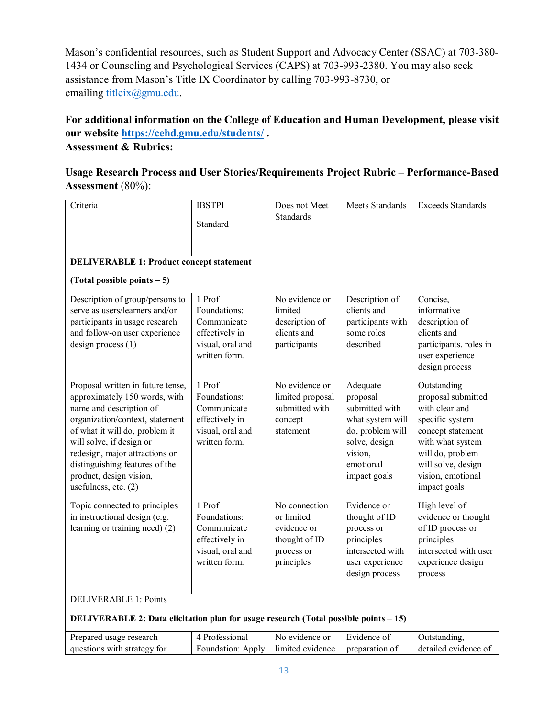Mason's confidential resources, such as Student Support and Advocacy Center (SSAC) at 703-380- 1434 or Counseling and Psychological Services (CAPS) at 703-993-2380. You may also seek assistance from Mason's Title IX Coordinator by calling 703-993-8730, or emailing [titleix@gmu.edu.](mailto:titleix@gmu.edu)

### **For additional information on the College of Education and Human Development, please visit our website<https://cehd.gmu.edu/students/> . Assessment & Rubrics:**

# **Usage Research Process and User Stories/Requirements Project Rubric – Performance-Based Assessment** (80%):

| Criteria                                                                                                                                                                                                                                                                                                              | <b>IBSTPI</b><br>Standard                                                                    | Does not Meet<br><b>Standards</b>                                                       | Meets Standards                                                                                                                         | <b>Exceeds Standards</b>                                                                                                                                                                       |
|-----------------------------------------------------------------------------------------------------------------------------------------------------------------------------------------------------------------------------------------------------------------------------------------------------------------------|----------------------------------------------------------------------------------------------|-----------------------------------------------------------------------------------------|-----------------------------------------------------------------------------------------------------------------------------------------|------------------------------------------------------------------------------------------------------------------------------------------------------------------------------------------------|
|                                                                                                                                                                                                                                                                                                                       |                                                                                              |                                                                                         |                                                                                                                                         |                                                                                                                                                                                                |
| <b>DELIVERABLE 1: Product concept statement</b>                                                                                                                                                                                                                                                                       |                                                                                              |                                                                                         |                                                                                                                                         |                                                                                                                                                                                                |
| (Total possible points $-5$ )                                                                                                                                                                                                                                                                                         |                                                                                              |                                                                                         |                                                                                                                                         |                                                                                                                                                                                                |
| Description of group/persons to<br>serve as users/learners and/or<br>participants in usage research<br>and follow-on user experience<br>$design$ process $(1)$                                                                                                                                                        | 1 Prof<br>Foundations:<br>Communicate<br>effectively in<br>visual, oral and<br>written form. | No evidence or<br>limited<br>description of<br>clients and<br>participants              | Description of<br>clients and<br>participants with<br>some roles<br>described                                                           | Concise,<br>informative<br>description of<br>clients and<br>participants, roles in<br>user experience<br>design process                                                                        |
| Proposal written in future tense,<br>approximately 150 words, with<br>name and description of<br>organization/context, statement<br>of what it will do, problem it<br>will solve, if design or<br>redesign, major attractions or<br>distinguishing features of the<br>product, design vision,<br>usefulness, etc. (2) | 1 Prof<br>Foundations:<br>Communicate<br>effectively in<br>visual, oral and<br>written form. | No evidence or<br>limited proposal<br>submitted with<br>concept<br>statement            | Adequate<br>proposal<br>submitted with<br>what system will<br>do, problem will<br>solve, design<br>vision,<br>emotional<br>impact goals | Outstanding<br>proposal submitted<br>with clear and<br>specific system<br>concept statement<br>with what system<br>will do, problem<br>will solve, design<br>vision, emotional<br>impact goals |
| Topic connected to principles<br>in instructional design (e.g.<br>learning or training need) (2)                                                                                                                                                                                                                      | 1 Prof<br>Foundations:<br>Communicate<br>effectively in<br>visual, oral and<br>written form. | No connection<br>or limited<br>evidence or<br>thought of ID<br>process or<br>principles | Evidence or<br>thought of ID<br>process or<br>principles<br>intersected with<br>user experience<br>design process                       | High level of<br>evidence or thought<br>of ID process or<br>principles<br>intersected with user<br>experience design<br>process                                                                |
| <b>DELIVERABLE 1: Points</b>                                                                                                                                                                                                                                                                                          |                                                                                              |                                                                                         |                                                                                                                                         |                                                                                                                                                                                                |
| DELIVERABLE 2: Data elicitation plan for usage research (Total possible points - 15)                                                                                                                                                                                                                                  |                                                                                              |                                                                                         |                                                                                                                                         |                                                                                                                                                                                                |
| Prepared usage research<br>questions with strategy for                                                                                                                                                                                                                                                                | 4 Professional<br>Foundation: Apply                                                          | No evidence or<br>limited evidence                                                      | Evidence of<br>preparation of                                                                                                           | Outstanding,<br>detailed evidence of                                                                                                                                                           |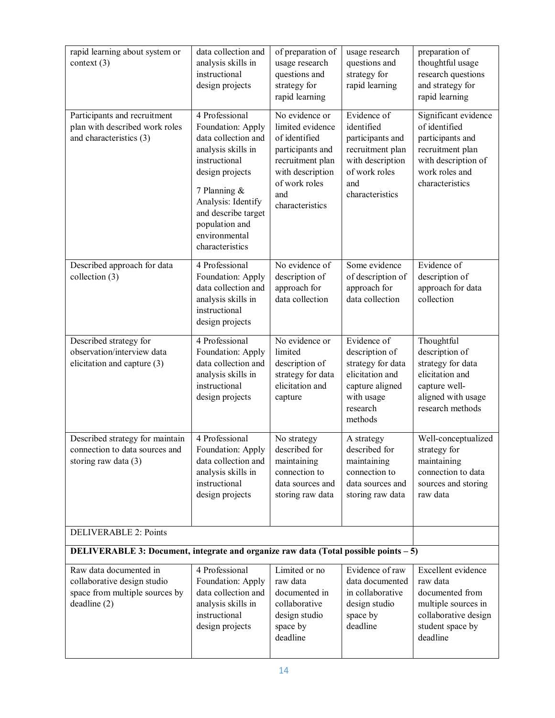| rapid learning about system or<br>context $(3)$                                                        | data collection and<br>analysis skills in<br>instructional<br>design projects                                                                                                                                                           | of preparation of<br>usage research<br>questions and<br>strategy for<br>rapid learning                                                                     | usage research<br>questions and<br>strategy for<br>rapid learning                                                                | preparation of<br>thoughtful usage<br>research questions<br>and strategy for<br>rapid learning                                            |
|--------------------------------------------------------------------------------------------------------|-----------------------------------------------------------------------------------------------------------------------------------------------------------------------------------------------------------------------------------------|------------------------------------------------------------------------------------------------------------------------------------------------------------|----------------------------------------------------------------------------------------------------------------------------------|-------------------------------------------------------------------------------------------------------------------------------------------|
| Participants and recruitment<br>plan with described work roles<br>and characteristics (3)              | 4 Professional<br>Foundation: Apply<br>data collection and<br>analysis skills in<br>instructional<br>design projects<br>7 Planning &<br>Analysis: Identify<br>and describe target<br>population and<br>environmental<br>characteristics | No evidence or<br>limited evidence<br>of identified<br>participants and<br>recruitment plan<br>with description<br>of work roles<br>and<br>characteristics | Evidence of<br>identified<br>participants and<br>recruitment plan<br>with description<br>of work roles<br>and<br>characteristics | Significant evidence<br>of identified<br>participants and<br>recruitment plan<br>with description of<br>work roles and<br>characteristics |
| Described approach for data<br>collection (3)                                                          | 4 Professional<br>Foundation: Apply<br>data collection and<br>analysis skills in<br>instructional<br>design projects                                                                                                                    | No evidence of<br>description of<br>approach for<br>data collection                                                                                        | Some evidence<br>of description of<br>approach for<br>data collection                                                            | Evidence of<br>description of<br>approach for data<br>collection                                                                          |
| Described strategy for<br>observation/interview data<br>elicitation and capture (3)                    | 4 Professional<br>Foundation: Apply<br>data collection and<br>analysis skills in<br>instructional<br>design projects                                                                                                                    | No evidence or<br>limited<br>description of<br>strategy for data<br>elicitation and<br>capture                                                             | Evidence of<br>description of<br>strategy for data<br>elicitation and<br>capture aligned<br>with usage<br>research<br>methods    | Thoughtful<br>description of<br>strategy for data<br>elicitation and<br>capture well-<br>aligned with usage<br>research methods           |
| Described strategy for maintain<br>connection to data sources and<br>storing raw data $(3)$            | 4 Professional<br>Foundation: Apply<br>data collection and<br>analysis skills in<br>instructional<br>design projects                                                                                                                    | No strategy<br>described for<br>maintaining<br>connection to<br>data sources and<br>storing raw data                                                       | A strategy<br>described for<br>maintaining<br>connection to<br>data sources and<br>storing raw data                              | Well-conceptualized<br>strategy for<br>maintaining<br>connection to data<br>sources and storing<br>raw data                               |
| <b>DELIVERABLE 2: Points</b>                                                                           |                                                                                                                                                                                                                                         |                                                                                                                                                            |                                                                                                                                  |                                                                                                                                           |
| DELIVERABLE 3: Document, integrate and organize raw data (Total possible points – 5)                   |                                                                                                                                                                                                                                         |                                                                                                                                                            |                                                                                                                                  |                                                                                                                                           |
| Raw data documented in<br>collaborative design studio<br>space from multiple sources by<br>deadline(2) | 4 Professional<br>Foundation: Apply<br>data collection and<br>analysis skills in<br>instructional<br>design projects                                                                                                                    | Limited or no<br>raw data<br>documented in<br>collaborative<br>design studio<br>space by<br>deadline                                                       | Evidence of raw<br>data documented<br>in collaborative<br>design studio<br>space by<br>deadline                                  | Excellent evidence<br>raw data<br>documented from<br>multiple sources in<br>collaborative design<br>student space by<br>deadline          |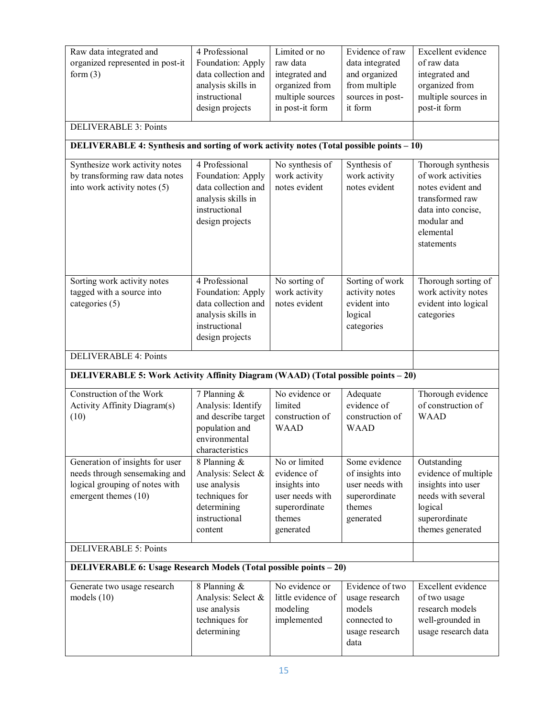| 4 Professional<br>Raw data integrated and<br>organized represented in post-it<br>Foundation: Apply<br>form $(3)$<br>data collection and<br>analysis skills in<br>instructional<br>design projects<br><b>DELIVERABLE 3: Points</b><br>DELIVERABLE 4: Synthesis and sorting of work activity notes (Total possible points - 10)<br>Synthesize work activity notes<br>4 Professional |                                                                                                                      | Limited or no<br>raw data<br>integrated and<br>organized from<br>multiple sources<br>in post-it form<br>No synthesis of | Evidence of raw<br>data integrated<br>and organized<br>from multiple<br>sources in post-<br>it form<br>Synthesis of | Excellent evidence<br>of raw data<br>integrated and<br>organized from<br>multiple sources in<br>post-it form<br>Thorough synthesis |
|-----------------------------------------------------------------------------------------------------------------------------------------------------------------------------------------------------------------------------------------------------------------------------------------------------------------------------------------------------------------------------------|----------------------------------------------------------------------------------------------------------------------|-------------------------------------------------------------------------------------------------------------------------|---------------------------------------------------------------------------------------------------------------------|------------------------------------------------------------------------------------------------------------------------------------|
| by transforming raw data notes<br>into work activity notes (5)                                                                                                                                                                                                                                                                                                                    | Foundation: Apply<br>data collection and<br>analysis skills in<br>instructional<br>design projects                   | work activity<br>notes evident                                                                                          | work activity<br>notes evident                                                                                      | of work activities<br>notes evident and<br>transformed raw<br>data into concise,<br>modular and<br>elemental<br>statements         |
| Sorting work activity notes<br>tagged with a source into<br>categories (5)                                                                                                                                                                                                                                                                                                        | 4 Professional<br>Foundation: Apply<br>data collection and<br>analysis skills in<br>instructional<br>design projects | No sorting of<br>work activity<br>notes evident                                                                         | Sorting of work<br>activity notes<br>evident into<br>logical<br>categories                                          | Thorough sorting of<br>work activity notes<br>evident into logical<br>categories                                                   |
| <b>DELIVERABLE 4: Points</b>                                                                                                                                                                                                                                                                                                                                                      |                                                                                                                      |                                                                                                                         |                                                                                                                     |                                                                                                                                    |
| DELIVERABLE 5: Work Activity Affinity Diagram (WAAD) (Total possible points - 20)                                                                                                                                                                                                                                                                                                 |                                                                                                                      |                                                                                                                         |                                                                                                                     |                                                                                                                                    |
| Construction of the Work<br>Activity Affinity Diagram(s)<br>(10)                                                                                                                                                                                                                                                                                                                  | 7 Planning &<br>Analysis: Identify<br>and describe target<br>population and<br>environmental<br>characteristics      | No evidence or<br>limited<br>construction of<br><b>WAAD</b>                                                             | Adequate<br>evidence of<br>construction of<br><b>WAAD</b>                                                           | Thorough evidence<br>of construction of<br><b>WAAD</b>                                                                             |
| Generation of insights for user<br>needs through sensemaking and<br>logical grouping of notes with<br>emergent themes (10)                                                                                                                                                                                                                                                        | 8 Planning &<br>Analysis: Select &<br>use analysis<br>techniques for<br>determining<br>instructional<br>content      | No or limited<br>evidence of<br>insights into<br>user needs with<br>superordinate<br>themes<br>generated                | Some evidence<br>of insights into<br>user needs with<br>superordinate<br>themes<br>generated                        | Outstanding<br>evidence of multiple<br>insights into user<br>needs with several<br>logical<br>superordinate<br>themes generated    |
| <b>DELIVERABLE 5: Points</b>                                                                                                                                                                                                                                                                                                                                                      |                                                                                                                      |                                                                                                                         |                                                                                                                     |                                                                                                                                    |
| <b>DELIVERABLE 6: Usage Research Models (Total possible points – 20)</b>                                                                                                                                                                                                                                                                                                          |                                                                                                                      |                                                                                                                         |                                                                                                                     |                                                                                                                                    |
| Generate two usage research<br>models $(10)$                                                                                                                                                                                                                                                                                                                                      | 8 Planning &<br>Analysis: Select &<br>use analysis<br>techniques for<br>determining                                  | No evidence or<br>little evidence of<br>modeling<br>implemented                                                         | Evidence of two<br>usage research<br>models<br>connected to<br>usage research<br>data                               | Excellent evidence<br>of two usage<br>research models<br>well-grounded in<br>usage research data                                   |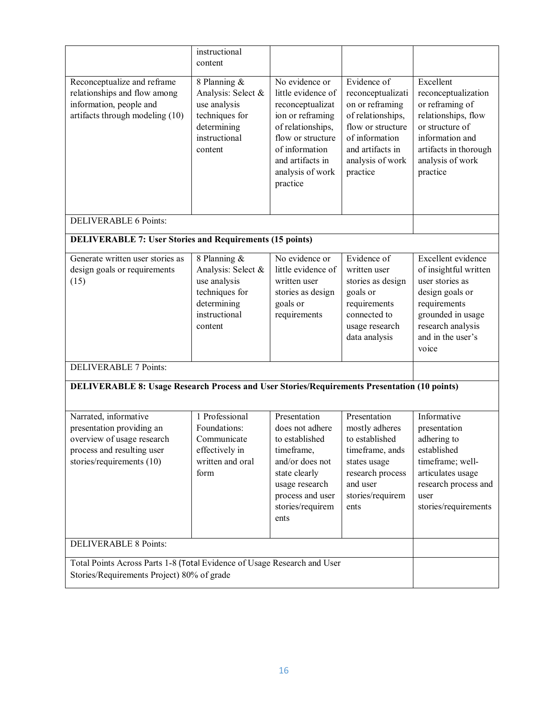|                                                                                                                                             | instructional<br>content                                                                                        |                                                                                                                                                                                              |                                                                                                                                                                     |                                                                                                                                                                           |
|---------------------------------------------------------------------------------------------------------------------------------------------|-----------------------------------------------------------------------------------------------------------------|----------------------------------------------------------------------------------------------------------------------------------------------------------------------------------------------|---------------------------------------------------------------------------------------------------------------------------------------------------------------------|---------------------------------------------------------------------------------------------------------------------------------------------------------------------------|
| Reconceptualize and reframe<br>relationships and flow among<br>information, people and<br>artifacts through modeling (10)                   | 8 Planning &<br>Analysis: Select &<br>use analysis<br>techniques for<br>determining<br>instructional<br>content | No evidence or<br>little evidence of<br>reconceptualizat<br>ion or reframing<br>of relationships,<br>flow or structure<br>of information<br>and artifacts in<br>analysis of work<br>practice | Evidence of<br>reconceptualizati<br>on or reframing<br>of relationships,<br>flow or structure<br>of information<br>and artifacts in<br>analysis of work<br>practice | Excellent<br>reconceptualization<br>or reframing of<br>relationships, flow<br>or structure of<br>information and<br>artifacts in thorough<br>analysis of work<br>practice |
| <b>DELIVERABLE 6 Points:</b>                                                                                                                |                                                                                                                 |                                                                                                                                                                                              |                                                                                                                                                                     |                                                                                                                                                                           |
| <b>DELIVERABLE 7: User Stories and Requirements (15 points)</b>                                                                             |                                                                                                                 |                                                                                                                                                                                              |                                                                                                                                                                     |                                                                                                                                                                           |
| Generate written user stories as<br>design goals or requirements<br>(15)                                                                    | 8 Planning &<br>Analysis: Select &<br>use analysis<br>techniques for<br>determining<br>instructional<br>content | No evidence or<br>little evidence of<br>written user<br>stories as design<br>goals or<br>requirements                                                                                        | Evidence of<br>written user<br>stories as design<br>goals or<br>requirements<br>connected to<br>usage research<br>data analysis                                     | Excellent evidence<br>of insightful written<br>user stories as<br>design goals or<br>requirements<br>grounded in usage<br>research analysis<br>and in the user's<br>voice |
| <b>DELIVERABLE 7 Points:</b>                                                                                                                |                                                                                                                 |                                                                                                                                                                                              |                                                                                                                                                                     |                                                                                                                                                                           |
| <b>DELIVERABLE 8: Usage Research Process and User Stories/Requirements Presentation (10 points)</b>                                         |                                                                                                                 |                                                                                                                                                                                              |                                                                                                                                                                     |                                                                                                                                                                           |
| Narrated, informative<br>presentation providing an<br>overview of usage research<br>process and resulting user<br>stories/requirements (10) | 1 Professional<br>Foundations:<br>Communicate<br>effectively in<br>written and oral<br>form                     | Presentation<br>does not adhere<br>to established<br>timeframe,<br>and/or does not<br>state clearly<br>usage research<br>process and user<br>stories/requirem<br>ents                        | Presentation<br>mostly adheres<br>to established<br>timeframe, ands<br>states usage<br>research process<br>and user<br>stories/requirem<br>ents                     | Informative<br>presentation<br>adhering to<br>established<br>timeframe; well-<br>articulates usage<br>research process and<br>user<br>stories/requirements                |
| <b>DELIVERABLE 8 Points:</b>                                                                                                                |                                                                                                                 |                                                                                                                                                                                              |                                                                                                                                                                     |                                                                                                                                                                           |
| Total Points Across Parts 1-8 (Total Evidence of Usage Research and User<br>Stories/Requirements Project) 80% of grade                      |                                                                                                                 |                                                                                                                                                                                              |                                                                                                                                                                     |                                                                                                                                                                           |